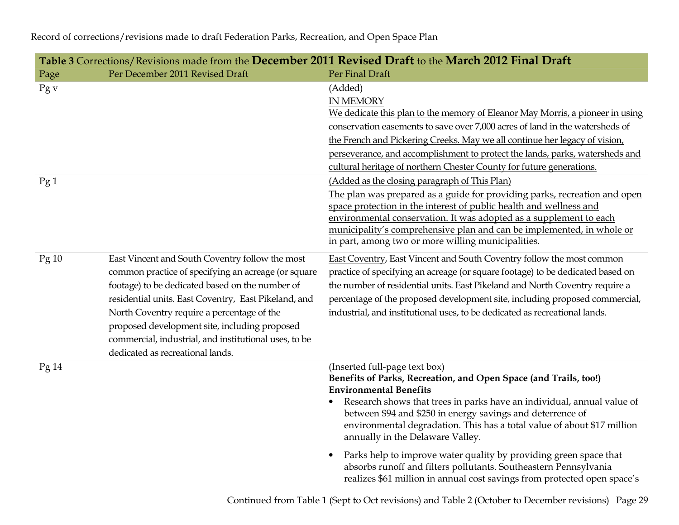| Table 3 Corrections/Revisions made from the December 2011 Revised Draft to the March 2012 Final Draft |                                                                                                                                                                                                                                                                                                                                                                                                               |                                                                                                                                                                                                                                                                                                                                                                                                                                    |  |  |
|-------------------------------------------------------------------------------------------------------|---------------------------------------------------------------------------------------------------------------------------------------------------------------------------------------------------------------------------------------------------------------------------------------------------------------------------------------------------------------------------------------------------------------|------------------------------------------------------------------------------------------------------------------------------------------------------------------------------------------------------------------------------------------------------------------------------------------------------------------------------------------------------------------------------------------------------------------------------------|--|--|
| Page                                                                                                  | Per December 2011 Revised Draft                                                                                                                                                                                                                                                                                                                                                                               | Per Final Draft                                                                                                                                                                                                                                                                                                                                                                                                                    |  |  |
| Pg v                                                                                                  |                                                                                                                                                                                                                                                                                                                                                                                                               | (Added)<br><b>IN MEMORY</b><br>We dedicate this plan to the memory of Eleanor May Morris, a pioneer in using<br>conservation easements to save over 7,000 acres of land in the watersheds of<br>the French and Pickering Creeks. May we all continue her legacy of vision,<br>perseverance, and accomplishment to protect the lands, parks, watersheds and<br>cultural heritage of northern Chester County for future generations. |  |  |
| Pg1                                                                                                   |                                                                                                                                                                                                                                                                                                                                                                                                               | (Added as the closing paragraph of This Plan)<br>The plan was prepared as a guide for providing parks, recreation and open<br>space protection in the interest of public health and wellness and<br>environmental conservation. It was adopted as a supplement to each<br>municipality's comprehensive plan and can be implemented, in whole or<br>in part, among two or more willing municipalities.                              |  |  |
| Pg10                                                                                                  | East Vincent and South Coventry follow the most<br>common practice of specifying an acreage (or square<br>footage) to be dedicated based on the number of<br>residential units. East Coventry, East Pikeland, and<br>North Coventry require a percentage of the<br>proposed development site, including proposed<br>commercial, industrial, and institutional uses, to be<br>dedicated as recreational lands. | East Coventry, East Vincent and South Coventry follow the most common<br>practice of specifying an acreage (or square footage) to be dedicated based on<br>the number of residential units. East Pikeland and North Coventry require a<br>percentage of the proposed development site, including proposed commercial,<br>industrial, and institutional uses, to be dedicated as recreational lands.                                |  |  |
| Pg14                                                                                                  |                                                                                                                                                                                                                                                                                                                                                                                                               | (Inserted full-page text box)<br>Benefits of Parks, Recreation, and Open Space (and Trails, too!)<br><b>Environmental Benefits</b><br>Research shows that trees in parks have an individual, annual value of<br>between \$94 and \$250 in energy savings and deterrence of<br>environmental degradation. This has a total value of about \$17 million<br>annually in the Delaware Valley.                                          |  |  |
|                                                                                                       |                                                                                                                                                                                                                                                                                                                                                                                                               | Parks help to improve water quality by providing green space that<br>$\bullet$<br>absorbs runoff and filters pollutants. Southeastern Pennsylvania<br>realizes \$61 million in annual cost savings from protected open space's                                                                                                                                                                                                     |  |  |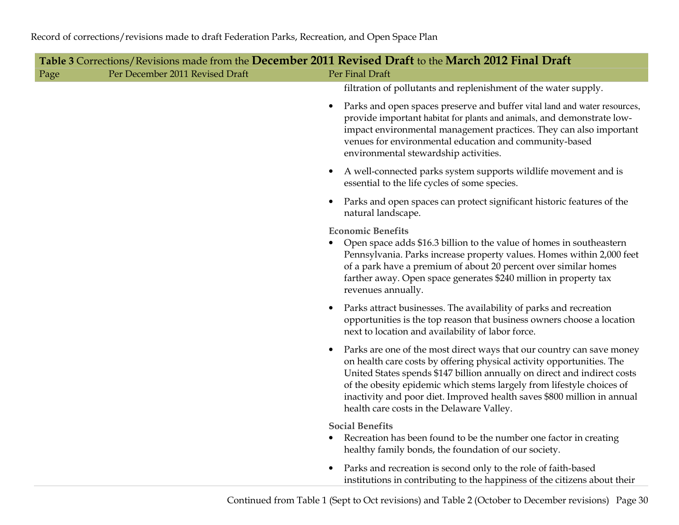$\overline{\phantom{a}}$ 

| Table 3 Corrections/Revisions made from the December 2011 Revised Draft to the March 2012 Final Draft |                                 |                                                                                                                                                                                                                                                                                                                                                                                                                             |  |  |
|-------------------------------------------------------------------------------------------------------|---------------------------------|-----------------------------------------------------------------------------------------------------------------------------------------------------------------------------------------------------------------------------------------------------------------------------------------------------------------------------------------------------------------------------------------------------------------------------|--|--|
| Page                                                                                                  | Per December 2011 Revised Draft | Per Final Draft                                                                                                                                                                                                                                                                                                                                                                                                             |  |  |
|                                                                                                       |                                 | filtration of pollutants and replenishment of the water supply.                                                                                                                                                                                                                                                                                                                                                             |  |  |
|                                                                                                       |                                 | Parks and open spaces preserve and buffer vital land and water resources,<br>provide important habitat for plants and animals, and demonstrate low-<br>impact environmental management practices. They can also important<br>venues for environmental education and community-based<br>environmental stewardship activities.                                                                                                |  |  |
|                                                                                                       |                                 | A well-connected parks system supports wildlife movement and is<br>essential to the life cycles of some species.                                                                                                                                                                                                                                                                                                            |  |  |
|                                                                                                       |                                 | Parks and open spaces can protect significant historic features of the<br>natural landscape.                                                                                                                                                                                                                                                                                                                                |  |  |
|                                                                                                       |                                 | <b>Economic Benefits</b><br>Open space adds \$16.3 billion to the value of homes in southeastern<br>Pennsylvania. Parks increase property values. Homes within 2,000 feet<br>of a park have a premium of about 20 percent over similar homes<br>farther away. Open space generates \$240 million in property tax<br>revenues annually.                                                                                      |  |  |
|                                                                                                       |                                 | Parks attract businesses. The availability of parks and recreation<br>opportunities is the top reason that business owners choose a location<br>next to location and availability of labor force.                                                                                                                                                                                                                           |  |  |
|                                                                                                       |                                 | Parks are one of the most direct ways that our country can save money<br>on health care costs by offering physical activity opportunities. The<br>United States spends \$147 billion annually on direct and indirect costs<br>of the obesity epidemic which stems largely from lifestyle choices of<br>inactivity and poor diet. Improved health saves \$800 million in annual<br>health care costs in the Delaware Valley. |  |  |
|                                                                                                       |                                 | <b>Social Benefits</b><br>Recreation has been found to be the number one factor in creating<br>$\bullet$<br>healthy family bonds, the foundation of our society.                                                                                                                                                                                                                                                            |  |  |
|                                                                                                       |                                 | Parks and recreation is second only to the role of faith-based<br>institutions in contributing to the happiness of the citizens about their                                                                                                                                                                                                                                                                                 |  |  |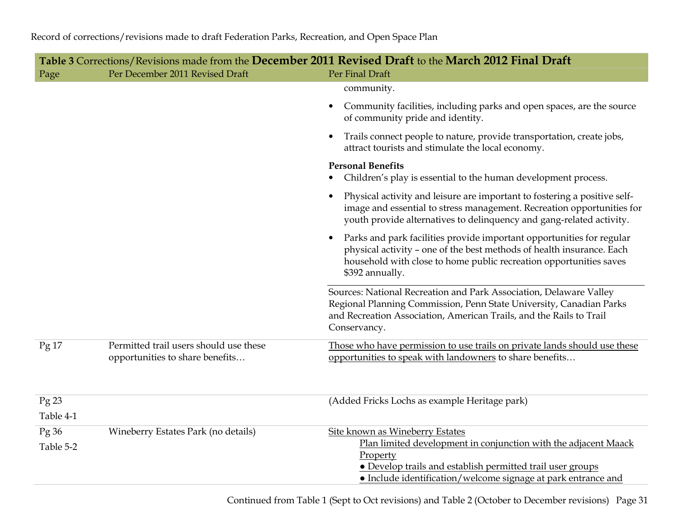| Table 3 Corrections/Revisions made from the December 2011 Revised Draft to the March 2012 Final Draft |                                                                           |                                                                                                                                                                                                                                         |  |
|-------------------------------------------------------------------------------------------------------|---------------------------------------------------------------------------|-----------------------------------------------------------------------------------------------------------------------------------------------------------------------------------------------------------------------------------------|--|
| Page                                                                                                  | Per December 2011 Revised Draft                                           | Per Final Draft                                                                                                                                                                                                                         |  |
|                                                                                                       |                                                                           | community.                                                                                                                                                                                                                              |  |
|                                                                                                       |                                                                           | Community facilities, including parks and open spaces, are the source<br>of community pride and identity.                                                                                                                               |  |
|                                                                                                       |                                                                           | Trails connect people to nature, provide transportation, create jobs,<br>attract tourists and stimulate the local economy.                                                                                                              |  |
|                                                                                                       |                                                                           | <b>Personal Benefits</b><br>Children's play is essential to the human development process.                                                                                                                                              |  |
|                                                                                                       |                                                                           | Physical activity and leisure are important to fostering a positive self-<br>image and essential to stress management. Recreation opportunities for<br>youth provide alternatives to delinquency and gang-related activity.             |  |
|                                                                                                       |                                                                           | Parks and park facilities provide important opportunities for regular<br>physical activity - one of the best methods of health insurance. Each<br>household with close to home public recreation opportunities saves<br>\$392 annually. |  |
|                                                                                                       |                                                                           | Sources: National Recreation and Park Association, Delaware Valley<br>Regional Planning Commission, Penn State University, Canadian Parks<br>and Recreation Association, American Trails, and the Rails to Trail<br>Conservancy.        |  |
| Pg17                                                                                                  | Permitted trail users should use these<br>opportunities to share benefits | Those who have permission to use trails on private lands should use these<br>opportunities to speak with landowners to share benefits                                                                                                   |  |
| Pg23<br>Table 4-1                                                                                     |                                                                           | (Added Fricks Lochs as example Heritage park)                                                                                                                                                                                           |  |
| Pg36                                                                                                  | Wineberry Estates Park (no details)                                       | Site known as Wineberry Estates                                                                                                                                                                                                         |  |
| Table 5-2                                                                                             |                                                                           | Plan limited development in conjunction with the adjacent Maack<br>Property<br><b>•</b> Develop trails and establish permitted trail user groups                                                                                        |  |
|                                                                                                       |                                                                           | • Include identification/welcome signage at park entrance and                                                                                                                                                                           |  |
|                                                                                                       |                                                                           |                                                                                                                                                                                                                                         |  |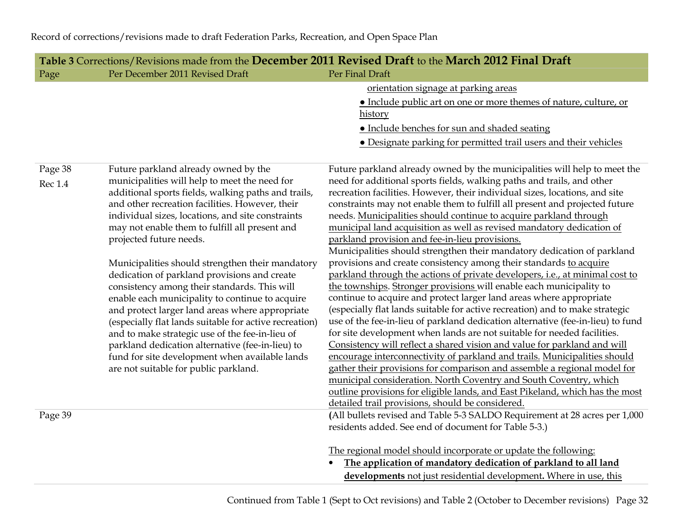|                | Table 3 Corrections/Revisions made from the December 2011 Revised Draft to the March 2012 Final Draft |                                                                                                                           |  |  |
|----------------|-------------------------------------------------------------------------------------------------------|---------------------------------------------------------------------------------------------------------------------------|--|--|
| Page           | Per December 2011 Revised Draft                                                                       | Per Final Draft                                                                                                           |  |  |
|                |                                                                                                       | orientation signage at parking areas                                                                                      |  |  |
|                |                                                                                                       | · Include public art on one or more themes of nature, culture, or                                                         |  |  |
|                |                                                                                                       | history                                                                                                                   |  |  |
|                |                                                                                                       | <b>.</b> Include benches for sun and shaded seating                                                                       |  |  |
|                |                                                                                                       | • Designate parking for permitted trail users and their vehicles                                                          |  |  |
| Page 38        | Future parkland already owned by the                                                                  | Future parkland already owned by the municipalities will help to meet the                                                 |  |  |
| <b>Rec</b> 1.4 | municipalities will help to meet the need for                                                         | need for additional sports fields, walking paths and trails, and other                                                    |  |  |
|                | additional sports fields, walking paths and trails,                                                   | recreation facilities. However, their individual sizes, locations, and site                                               |  |  |
|                | and other recreation facilities. However, their                                                       | constraints may not enable them to fulfill all present and projected future                                               |  |  |
|                | individual sizes, locations, and site constraints                                                     | needs. Municipalities should continue to acquire parkland through                                                         |  |  |
|                | may not enable them to fulfill all present and                                                        | municipal land acquisition as well as revised mandatory dedication of                                                     |  |  |
|                | projected future needs.                                                                               | parkland provision and fee-in-lieu provisions.<br>Municipalities should strengthen their mandatory dedication of parkland |  |  |
|                | Municipalities should strengthen their mandatory                                                      | provisions and create consistency among their standards to acquire                                                        |  |  |
|                | dedication of parkland provisions and create                                                          | parkland through the actions of private developers, i.e., at minimal cost to                                              |  |  |
|                | consistency among their standards. This will                                                          | the townships. Stronger provisions will enable each municipality to                                                       |  |  |
|                | enable each municipality to continue to acquire                                                       | continue to acquire and protect larger land areas where appropriate                                                       |  |  |
|                | and protect larger land areas where appropriate                                                       | (especially flat lands suitable for active recreation) and to make strategic                                              |  |  |
|                | (especially flat lands suitable for active recreation)                                                | use of the fee-in-lieu of parkland dedication alternative (fee-in-lieu) to fund                                           |  |  |
|                | and to make strategic use of the fee-in-lieu of                                                       | for site development when lands are not suitable for needed facilities.                                                   |  |  |
|                | parkland dedication alternative (fee-in-lieu) to                                                      | Consistency will reflect a shared vision and value for parkland and will                                                  |  |  |
|                | fund for site development when available lands                                                        | encourage interconnectivity of parkland and trails. Municipalities should                                                 |  |  |
|                | are not suitable for public parkland.                                                                 | gather their provisions for comparison and assemble a regional model for                                                  |  |  |
|                |                                                                                                       | municipal consideration. North Coventry and South Coventry, which                                                         |  |  |
|                |                                                                                                       | outline provisions for eligible lands, and East Pikeland, which has the most                                              |  |  |
|                |                                                                                                       | detailed trail provisions, should be considered.                                                                          |  |  |
| Page 39        |                                                                                                       | (All bullets revised and Table 5-3 SALDO Requirement at 28 acres per 1,000                                                |  |  |
|                |                                                                                                       | residents added. See end of document for Table 5-3.)                                                                      |  |  |
|                |                                                                                                       | The regional model should incorporate or update the following:                                                            |  |  |
|                |                                                                                                       | The application of mandatory dedication of parkland to all land                                                           |  |  |
|                |                                                                                                       | developments not just residential development. Where in use, this                                                         |  |  |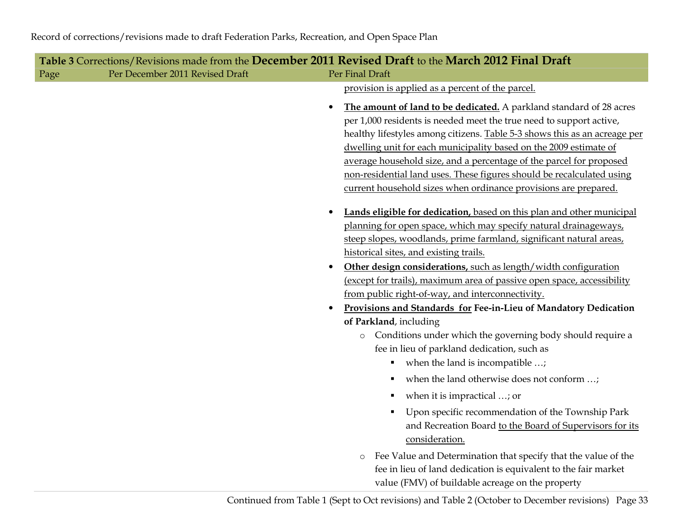| Table 3 Corrections/Revisions made from the December 2011 Revised Draft to the March 2012 Final Draft |                                 |                                                                                                                                                                                                                                                                                                                                                                                                                                                                                                                                                                                                                                                                                                                                                                                                                                                                                                                              |  |  |
|-------------------------------------------------------------------------------------------------------|---------------------------------|------------------------------------------------------------------------------------------------------------------------------------------------------------------------------------------------------------------------------------------------------------------------------------------------------------------------------------------------------------------------------------------------------------------------------------------------------------------------------------------------------------------------------------------------------------------------------------------------------------------------------------------------------------------------------------------------------------------------------------------------------------------------------------------------------------------------------------------------------------------------------------------------------------------------------|--|--|
| Page                                                                                                  | Per December 2011 Revised Draft | Per Final Draft                                                                                                                                                                                                                                                                                                                                                                                                                                                                                                                                                                                                                                                                                                                                                                                                                                                                                                              |  |  |
|                                                                                                       |                                 | provision is applied as a percent of the parcel.                                                                                                                                                                                                                                                                                                                                                                                                                                                                                                                                                                                                                                                                                                                                                                                                                                                                             |  |  |
|                                                                                                       |                                 | The amount of land to be dedicated. A parkland standard of 28 acres<br>$\bullet$<br>per 1,000 residents is needed meet the true need to support active,<br>healthy lifestyles among citizens. Table 5-3 shows this as an acreage per<br>dwelling unit for each municipality based on the 2009 estimate of<br>average household size, and a percentage of the parcel for proposed<br>non-residential land uses. These figures should be recalculated using<br>current household sizes when ordinance provisions are prepared.                                                                                                                                                                                                                                                                                                                                                                                                 |  |  |
|                                                                                                       |                                 | Lands eligible for dedication, based on this plan and other municipal<br>planning for open space, which may specify natural drainageways,<br>steep slopes, woodlands, prime farmland, significant natural areas,<br>historical sites, and existing trails.<br>Other design considerations, such as length/width configuration<br>(except for trails), maximum area of passive open space, accessibility<br>from public right-of-way, and interconnectivity.<br>Provisions and Standards for Fee-in-Lieu of Mandatory Dedication<br>of Parkland, including<br>Conditions under which the governing body should require a<br>$\circ$<br>fee in lieu of parkland dedication, such as<br>when the land is incompatible ;<br>п<br>when the land otherwise does not conform ;<br>when it is impractical ; or<br>Е<br>Upon specific recommendation of the Township Park<br>and Recreation Board to the Board of Supervisors for its |  |  |
|                                                                                                       |                                 | consideration.<br>Fee Value and Determination that specify that the value of the<br>$\circ$<br>fee in lieu of land dedication is equivalent to the fair market<br>value (FMV) of buildable acreage on the property                                                                                                                                                                                                                                                                                                                                                                                                                                                                                                                                                                                                                                                                                                           |  |  |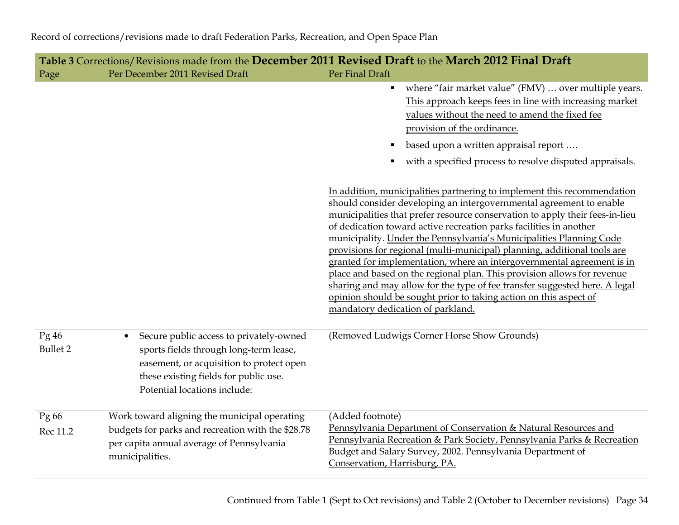|                         |                                                                                                                                                                                                                     | Table 3 Corrections/Revisions made from the December 2011 Revised Draft to the March 2012 Final Draft                                                                                                                                                                                                                                                                                                                                                                                                                                                                                                                                                                                                                                                                                                |
|-------------------------|---------------------------------------------------------------------------------------------------------------------------------------------------------------------------------------------------------------------|------------------------------------------------------------------------------------------------------------------------------------------------------------------------------------------------------------------------------------------------------------------------------------------------------------------------------------------------------------------------------------------------------------------------------------------------------------------------------------------------------------------------------------------------------------------------------------------------------------------------------------------------------------------------------------------------------------------------------------------------------------------------------------------------------|
| Page                    | Per December 2011 Revised Draft                                                                                                                                                                                     | Per Final Draft                                                                                                                                                                                                                                                                                                                                                                                                                                                                                                                                                                                                                                                                                                                                                                                      |
|                         |                                                                                                                                                                                                                     | where "fair market value" (FMV)  over multiple years.                                                                                                                                                                                                                                                                                                                                                                                                                                                                                                                                                                                                                                                                                                                                                |
|                         |                                                                                                                                                                                                                     | This approach keeps fees in line with increasing market                                                                                                                                                                                                                                                                                                                                                                                                                                                                                                                                                                                                                                                                                                                                              |
|                         |                                                                                                                                                                                                                     | values without the need to amend the fixed fee                                                                                                                                                                                                                                                                                                                                                                                                                                                                                                                                                                                                                                                                                                                                                       |
|                         |                                                                                                                                                                                                                     | provision of the ordinance.                                                                                                                                                                                                                                                                                                                                                                                                                                                                                                                                                                                                                                                                                                                                                                          |
|                         |                                                                                                                                                                                                                     | based upon a written appraisal report<br>п                                                                                                                                                                                                                                                                                                                                                                                                                                                                                                                                                                                                                                                                                                                                                           |
|                         |                                                                                                                                                                                                                     | with a specified process to resolve disputed appraisals.                                                                                                                                                                                                                                                                                                                                                                                                                                                                                                                                                                                                                                                                                                                                             |
|                         |                                                                                                                                                                                                                     | In addition, municipalities partnering to implement this recommendation<br>should consider developing an intergovernmental agreement to enable<br>municipalities that prefer resource conservation to apply their fees-in-lieu<br>of dedication toward active recreation parks facilities in another<br>municipality. Under the Pennsylvania's Municipalities Planning Code<br>provisions for regional (multi-municipal) planning, additional tools are<br>granted for implementation, where an intergovernmental agreement is in<br>place and based on the regional plan. This provision allows for revenue<br>sharing and may allow for the type of fee transfer suggested here. A legal<br>opinion should be sought prior to taking action on this aspect of<br>mandatory dedication of parkland. |
| Pg46<br><b>Bullet 2</b> | Secure public access to privately-owned<br>$\bullet$<br>sports fields through long-term lease,<br>easement, or acquisition to protect open<br>these existing fields for public use.<br>Potential locations include: | (Removed Ludwigs Corner Horse Show Grounds)                                                                                                                                                                                                                                                                                                                                                                                                                                                                                                                                                                                                                                                                                                                                                          |
| Pg 66<br>Rec 11.2       | Work toward aligning the municipal operating<br>budgets for parks and recreation with the \$28.78                                                                                                                   | (Added footnote)<br>Pennsylvania Department of Conservation & Natural Resources and<br>Pennsylvania Recreation & Park Society, Pennsylvania Parks & Recreation                                                                                                                                                                                                                                                                                                                                                                                                                                                                                                                                                                                                                                       |
|                         | per capita annual average of Pennsylvania<br>municipalities.                                                                                                                                                        | Budget and Salary Survey, 2002. Pennsylvania Department of<br>Conservation, Harrisburg, PA.                                                                                                                                                                                                                                                                                                                                                                                                                                                                                                                                                                                                                                                                                                          |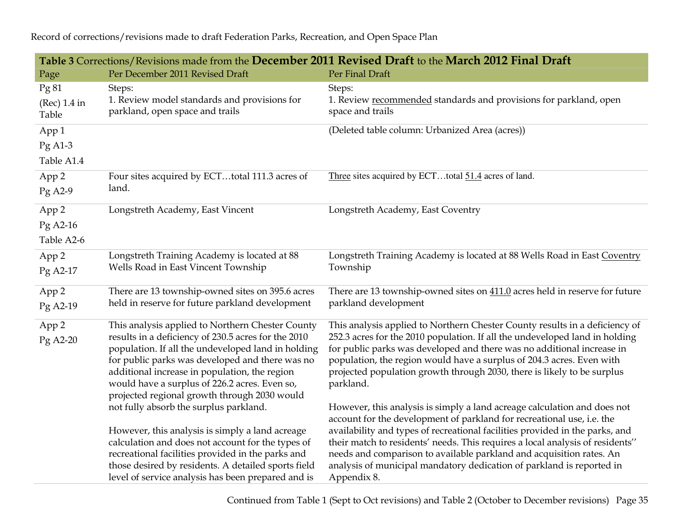**Table 3** Corrections/Revisions made from the **December 2011 Revised Draft** to the **March 2012 Final Draft** Page Per December 2011 Revised Draft Per Final Draft Pg 81 (Rec) 1.4 in Table Steps: 1. Review model standards and provisions for parkland, open space and trails Steps: 1. Review recommended standards and provisions for parkland, openspace and trails App 1 Pg A1-3 Table A1.4 (Deleted table column: Urbanized Area (acres)) App 2 Pg A2-9 Four sites acquired by ECT…total 111.3 acres of land. Three sites acquired by ECT…total 51.4 acres of land.App 2 Pg A2-16 Table A2-6 Longstreth Academy, East Vincent Longstreth Academy, East Coventry App 2 Pg A2-17 Longstreth Training Academy is located at 88 Wells Road in East Vincent Township Longstreth Training Academy is located at 88 Wells Road in East CoventryTownship App 2 Pg A2-19 There are 13 township-owned sites on 395.6 acres held in reserve for future parkland development There are 13 township-owned sites on  $411.0$  acres held in reserve for future parkland development App 2 Pg A2-20 This analysis applied to Northern Chester County results in a deficiency of 230.5 acres for the 2010 population. If all the undeveloped land in holding for public parks was developed and there was no additional increase in population, the region would have a surplus of 226.2 acres. Even so, projected regional growth through 2030 would not fully absorb the surplus parkland. However, this analysis is simply a land acreage calculation and does not account for the types of recreational facilities provided in the parks and those desired by residents. A detailed sports field level of service analysis has been prepared and is This analysis applied to Northern Chester County results in a deficiency of 252.3 acres for the 2010 population. If all the undeveloped land in holding for public parks was developed and there was no additional increase in population, the region would have a surplus of 204.3 acres. Even with projected population growth through 2030, there is likely to be surplus parkland. However, this analysis is simply a land acreage calculation and does not account for the development of parkland for recreational use, i.e. the availability and types of recreational facilities provided in the parks, and their match to residents' needs. This requires a local analysis of residents'' needs and comparison to available parkland and acquisition rates. An analysis of municipal mandatory dedication of parkland is reported in Appendix 8.

Record of corrections/revisions made to draft Federation Parks, Recreation, and Open Space Plan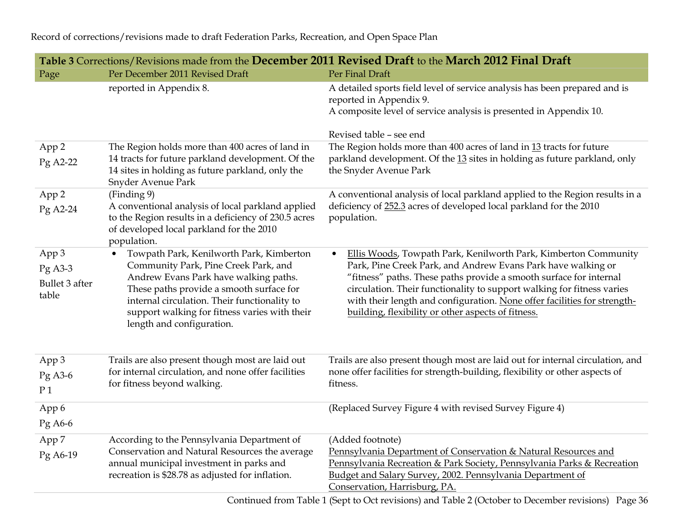| Table 3 Corrections/Revisions made from the December 2011 Revised Draft to the March 2012 Final Draft |                                                                                                                                                                                                                                                                                                     |                                                                                                                                                                                                                                                                                                                                                                                                                                |  |  |
|-------------------------------------------------------------------------------------------------------|-----------------------------------------------------------------------------------------------------------------------------------------------------------------------------------------------------------------------------------------------------------------------------------------------------|--------------------------------------------------------------------------------------------------------------------------------------------------------------------------------------------------------------------------------------------------------------------------------------------------------------------------------------------------------------------------------------------------------------------------------|--|--|
| Page                                                                                                  | Per December 2011 Revised Draft                                                                                                                                                                                                                                                                     | Per Final Draft                                                                                                                                                                                                                                                                                                                                                                                                                |  |  |
|                                                                                                       | reported in Appendix 8.                                                                                                                                                                                                                                                                             | A detailed sports field level of service analysis has been prepared and is<br>reported in Appendix 9.<br>A composite level of service analysis is presented in Appendix 10.                                                                                                                                                                                                                                                    |  |  |
|                                                                                                       |                                                                                                                                                                                                                                                                                                     | Revised table - see end                                                                                                                                                                                                                                                                                                                                                                                                        |  |  |
| App 2<br>Pg A2-22                                                                                     | The Region holds more than 400 acres of land in<br>14 tracts for future parkland development. Of the<br>14 sites in holding as future parkland, only the<br>Snyder Avenue Park                                                                                                                      | The Region holds more than 400 acres of land in 13 tracts for future<br>parkland development. Of the 13 sites in holding as future parkland, only<br>the Snyder Avenue Park                                                                                                                                                                                                                                                    |  |  |
| App <sub>2</sub><br>Pg A2-24                                                                          | (Finding 9)<br>A conventional analysis of local parkland applied<br>to the Region results in a deficiency of 230.5 acres<br>of developed local parkland for the 2010<br>population.                                                                                                                 | A conventional analysis of local parkland applied to the Region results in a<br>deficiency of 252.3 acres of developed local parkland for the 2010<br>population.                                                                                                                                                                                                                                                              |  |  |
| App 3<br>$Pg$ A3-3<br>Bullet 3 after<br>table                                                         | Towpath Park, Kenilworth Park, Kimberton<br>Community Park, Pine Creek Park, and<br>Andrew Evans Park have walking paths.<br>These paths provide a smooth surface for<br>internal circulation. Their functionality to<br>support walking for fitness varies with their<br>length and configuration. | Ellis Woods, Towpath Park, Kenilworth Park, Kimberton Community<br>$\bullet$<br>Park, Pine Creek Park, and Andrew Evans Park have walking or<br>"fitness" paths. These paths provide a smooth surface for internal<br>circulation. Their functionality to support walking for fitness varies<br>with their length and configuration. None offer facilities for strength-<br>building, flexibility or other aspects of fitness. |  |  |
| App 3<br>Pg A3-6<br>P <sub>1</sub>                                                                    | Trails are also present though most are laid out<br>for internal circulation, and none offer facilities<br>for fitness beyond walking.                                                                                                                                                              | Trails are also present though most are laid out for internal circulation, and<br>none offer facilities for strength-building, flexibility or other aspects of<br>fitness.                                                                                                                                                                                                                                                     |  |  |
| App 6<br>Pg A6-6                                                                                      |                                                                                                                                                                                                                                                                                                     | (Replaced Survey Figure 4 with revised Survey Figure 4)                                                                                                                                                                                                                                                                                                                                                                        |  |  |
| App 7                                                                                                 | According to the Pennsylvania Department of                                                                                                                                                                                                                                                         | (Added footnote)                                                                                                                                                                                                                                                                                                                                                                                                               |  |  |
| Pg A6-19                                                                                              | Conservation and Natural Resources the average<br>annual municipal investment in parks and<br>recreation is \$28.78 as adjusted for inflation.                                                                                                                                                      | Pennsylvania Department of Conservation & Natural Resources and<br>Pennsylvania Recreation & Park Society, Pennsylvania Parks & Recreation<br>Budget and Salary Survey, 2002. Pennsylvania Department of<br>Conservation, Harrisburg, PA.                                                                                                                                                                                      |  |  |
|                                                                                                       |                                                                                                                                                                                                                                                                                                     |                                                                                                                                                                                                                                                                                                                                                                                                                                |  |  |

Record of corrections/revisions made to draft Federation Parks, Recreation, and Open Space Plan

Continued from Table 1 (Sept to Oct revisions) and Table 2 (October to December revisions) Page 36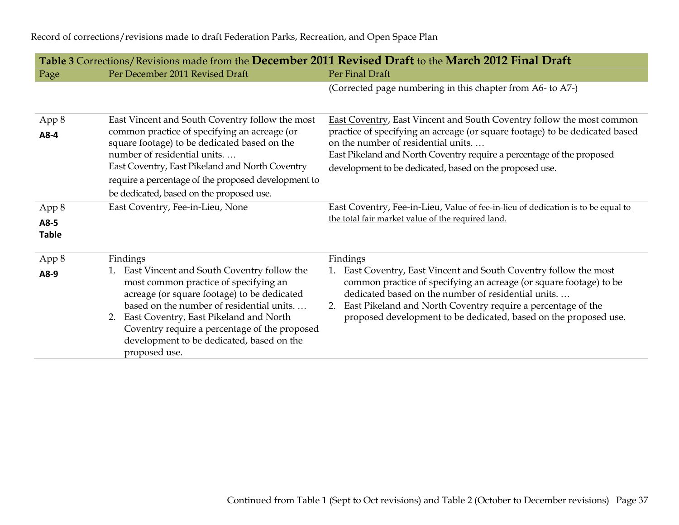|                               |                                                                                                                                                                                                                                                                                                                                               | Table 3 Corrections/Revisions made from the December 2011 Revised Draft to the March 2012 Final Draft                                                                                                                                                                                                                                      |  |  |
|-------------------------------|-----------------------------------------------------------------------------------------------------------------------------------------------------------------------------------------------------------------------------------------------------------------------------------------------------------------------------------------------|--------------------------------------------------------------------------------------------------------------------------------------------------------------------------------------------------------------------------------------------------------------------------------------------------------------------------------------------|--|--|
| Page                          | Per December 2011 Revised Draft                                                                                                                                                                                                                                                                                                               | Per Final Draft                                                                                                                                                                                                                                                                                                                            |  |  |
|                               |                                                                                                                                                                                                                                                                                                                                               | (Corrected page numbering in this chapter from A6- to A7-)                                                                                                                                                                                                                                                                                 |  |  |
| App 8                         | East Vincent and South Coventry follow the most                                                                                                                                                                                                                                                                                               | <b>East Coventry, East Vincent and South Coventry follow the most common</b>                                                                                                                                                                                                                                                               |  |  |
| A8-4                          | common practice of specifying an acreage (or<br>square footage) to be dedicated based on the<br>number of residential units<br>East Coventry, East Pikeland and North Coventry<br>require a percentage of the proposed development to<br>be dedicated, based on the proposed use.                                                             | practice of specifying an acreage (or square footage) to be dedicated based<br>on the number of residential units<br>East Pikeland and North Coventry require a percentage of the proposed<br>development to be dedicated, based on the proposed use.                                                                                      |  |  |
| App 8<br>A8-5<br><b>Table</b> | East Coventry, Fee-in-Lieu, None                                                                                                                                                                                                                                                                                                              | East Coventry, Fee-in-Lieu, Value of fee-in-lieu of dedication is to be equal to<br>the total fair market value of the required land.                                                                                                                                                                                                      |  |  |
| App 8                         | Findings                                                                                                                                                                                                                                                                                                                                      | Findings                                                                                                                                                                                                                                                                                                                                   |  |  |
| A8-9                          | 1. East Vincent and South Coventry follow the<br>most common practice of specifying an<br>acreage (or square footage) to be dedicated<br>based on the number of residential units<br>2. East Coventry, East Pikeland and North<br>Coventry require a percentage of the proposed<br>development to be dedicated, based on the<br>proposed use. | East Coventry, East Vincent and South Coventry follow the most<br>1.<br>common practice of specifying an acreage (or square footage) to be<br>dedicated based on the number of residential units<br>East Pikeland and North Coventry require a percentage of the<br>2.<br>proposed development to be dedicated, based on the proposed use. |  |  |